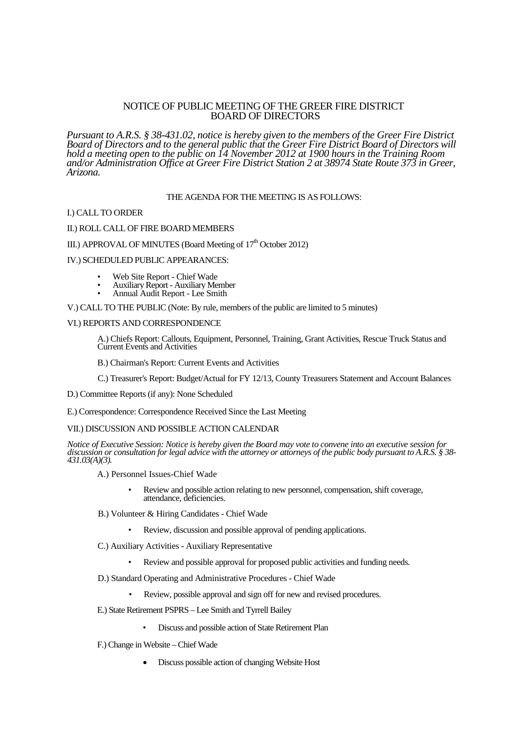# NOTICE OF PUBLIC MEETING OF THE GREER FIRE DISTRICT BOARD OF DIRECTORS

*Pursuant to A.R.S. § 38-431.02, notice is hereby given to the members of the Greer Fire District Board of Directors and to the general public that the Greer Fire District Board of Directors will hold a meeting open to the public on 14 November 2012 at 1900 hours in the Training Room and/or Administration Office at Greer Fire District Station 2 at 38974 State Route 373 in Greer, Arizona.*

# THE AGENDA FOR THE MEETING IS AS FOLLOWS:

#### I.) CALL TO ORDER

## II.) ROLL CALL OF FIRE BOARD MEMBERS

# III.) APPROVAL OF MINUTES (Board Meeting of 17<sup>th</sup> October 2012)

#### IV.) SCHEDULED PUBLIC APPEARANCES:

- Web Site Report Chief Wade
- Auxiliary Report Auxiliary Member
- Annual Audit Report Lee Smith

#### V.) CALL TO THE PUBLIC (Note: By rule, members of the public are limited to 5 minutes)

# VI.) REPORTS AND CORRESPONDENCE

A.) Chiefs Report: Callouts, Equipment, Personnel, Training, Grant Activities, Rescue Truck Status and Current Events and Activities

B.) Chairman's Report: Current Events and Activities

C.) Treasurer's Report: Budget/Actual for FY 12/13, County Treasurers Statement and Account Balances

D.) Committee Reports (if any): None Scheduled

E.) Correspondence: Correspondence Received Since the Last Meeting

## VII.) DISCUSSION AND POSSIBLE ACTION CALENDAR

*Notice of Executive Session: Notice is hereby given the Board may vote to convene into an executive session for discussion or consultation for legal advice with the attorney or attorneys of the public body pursuant to A.R.S. § 38- 431.03(A)(3).*

- A.) Personnel Issues-Chief Wade
	- Review and possible action relating to new personnel, compensation, shift coverage, attendance, deficiencies.
- B.) Volunteer & Hiring Candidates Chief Wade
	- Review, discussion and possible approval of pending applications.
- C.) Auxiliary Activities Auxiliary Representative
	- Review and possible approval for proposed public activities and funding needs.
- D.) Standard Operating and Administrative Procedures Chief Wade
	- Review, possible approval and sign off for new and revised procedures.
- E.) State Retirement PSPRS Lee Smith and Tyrrell Bailey
	- Discuss and possible action of State Retirement Plan
- F.) Change in Website Chief Wade
	- Discuss possible action of changing Website Host